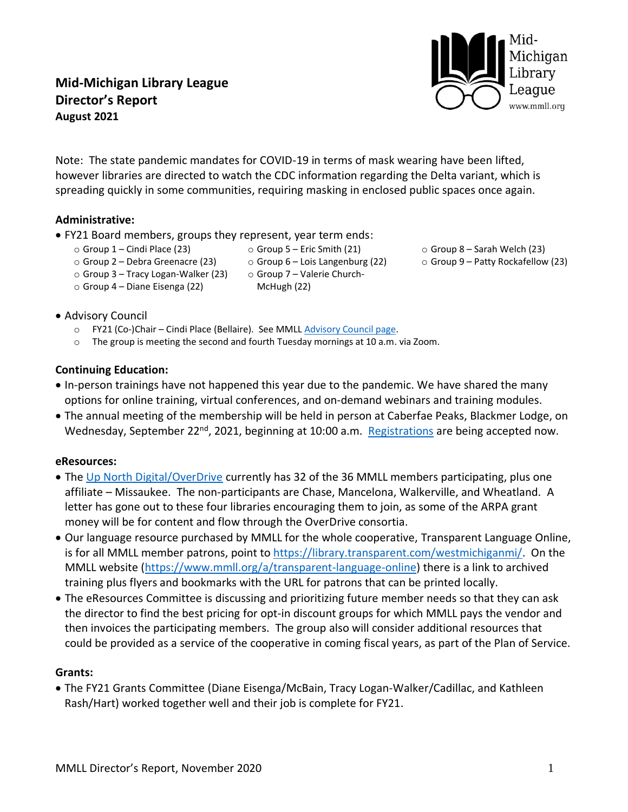# **Mid-Michigan Library League Director's Report August 2021**

Note: The state pandemic mandates for COVID-19 in terms of mask wearing have been lifted, however libraries are directed to watch the CDC information regarding the Delta variant, which is spreading quickly in some communities, requiring masking in enclosed public spaces once again.

> $\circ$  Group 5 – Eric Smith (21)  $\circ$  Group 6 – Lois Langenburg (22)

### **Administrative:**

- FY21 Board members, groups they represent, year term ends:
	- o Group 1 Cindi Place (23)

o Group 4 – Diane Eisenga (22)

- o Group 2 Debra Greenacre (23)
- o Group 3 Tracy Logan-Walker (23)
- o Group 7 Valerie Church-McHugh (22)
- o Group 8 Sarah Welch (23)
- o Group 9 Patty Rockafellow (23)

- Advisory Council
	- o FY21 (Co-)Chair Cindi Place (Bellaire). See MMLL [Advisory Council page.](https://www.mmll.org/board/advisory-council)
	- $\circ$  The group is meeting the second and fourth Tuesday mornings at 10 a.m. via Zoom.

### **Continuing Education:**

- In-person trainings have not happened this year due to the pandemic. We have shared the many options for online training, virtual conferences, and on-demand webinars and training modules.
- The annual meeting of the membership will be held in person at Caberfae Peaks, Blackmer Lodge, on Wednesday, September 22<sup>nd</sup>, 2021, beginning at 10:00 a.m. [Registrations](https://form.jotform.com/212206212224134) are being accepted now.

#### **eResources:**

- The [Up North Digital/OverDrive](https://upnorth.overdrive.com/) currently has 32 of the 36 MMLL members participating, plus one affiliate – Missaukee. The non-participants are Chase, Mancelona, Walkerville, and Wheatland. A letter has gone out to these four libraries encouraging them to join, as some of the ARPA grant money will be for content and flow through the OverDrive consortia.
- Our language resource purchased by MMLL for the whole cooperative, Transparent Language Online, is for all MMLL member patrons, point to [https://library.transparent.com/westmichiganmi/.](https://library.transparent.com/westmichiganmi/) On the MMLL website [\(https://www.mmll.org/a/transparent-language-online\)](https://www.mmll.org/a/transparent-language-online) there is a link to archived training plus flyers and bookmarks with the URL for patrons that can be printed locally.
- The eResources Committee is discussing and prioritizing future member needs so that they can ask the director to find the best pricing for opt-in discount groups for which MMLL pays the vendor and then invoices the participating members. The group also will consider additional resources that could be provided as a service of the cooperative in coming fiscal years, as part of the Plan of Service.

### **Grants:**

- The FY21 Grants Committee (Diane Eisenga/McBain, Tracy Logan-Walker/Cadillac, and Kathleen Rash/Hart) worked together well and their job is complete for FY21.
	-